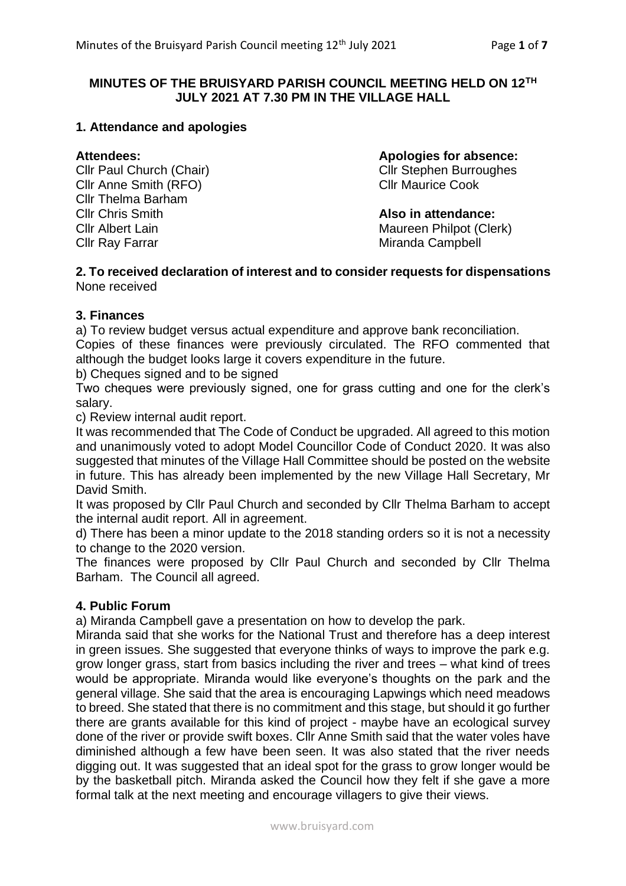# **MINUTES OF THE BRUISYARD PARISH COUNCIL MEETING HELD ON 12TH JULY 2021 AT 7.30 PM IN THE VILLAGE HALL**

# **1. Attendance and apologies**

**Cllr Anne Smith (RFO)** Cllr Maurice Cook Cllr Thelma Barham Cllr Chris Smith **Also in attendance: Cllr Albert Lain** Maureen Philpot (Clerk) Cllr Ray Farrar Miranda Campbell

**Attendees: Apologies for absence:**

Cllr Paul Church (Chair) Cllr Stephen Burroughes

#### **2. To received declaration of interest and to consider requests for dispensations** None received

# **3. Finances**

a) To review budget versus actual expenditure and approve bank reconciliation. Copies of these finances were previously circulated. The RFO commented that although the budget looks large it covers expenditure in the future.

b) Cheques signed and to be signed

Two cheques were previously signed, one for grass cutting and one for the clerk's salary.

c) Review internal audit report.

It was recommended that The Code of Conduct be upgraded. All agreed to this motion and unanimously voted to adopt Model Councillor Code of Conduct 2020. It was also suggested that minutes of the Village Hall Committee should be posted on the website in future. This has already been implemented by the new Village Hall Secretary, Mr David Smith.

It was proposed by Cllr Paul Church and seconded by Cllr Thelma Barham to accept the internal audit report. All in agreement.

d) There has been a minor update to the 2018 standing orders so it is not a necessity to change to the 2020 version.

The finances were proposed by Cllr Paul Church and seconded by Cllr Thelma Barham. The Council all agreed.

# **4. Public Forum**

a) Miranda Campbell gave a presentation on how to develop the park.

Miranda said that she works for the National Trust and therefore has a deep interest in green issues. She suggested that everyone thinks of ways to improve the park e.g. grow longer grass, start from basics including the river and trees – what kind of trees would be appropriate. Miranda would like everyone's thoughts on the park and the general village. She said that the area is encouraging Lapwings which need meadows to breed. She stated that there is no commitment and this stage, but should it go further there are grants available for this kind of project - maybe have an ecological survey done of the river or provide swift boxes. Cllr Anne Smith said that the water voles have diminished although a few have been seen. It was also stated that the river needs digging out. It was suggested that an ideal spot for the grass to grow longer would be by the basketball pitch. Miranda asked the Council how they felt if she gave a more formal talk at the next meeting and encourage villagers to give their views.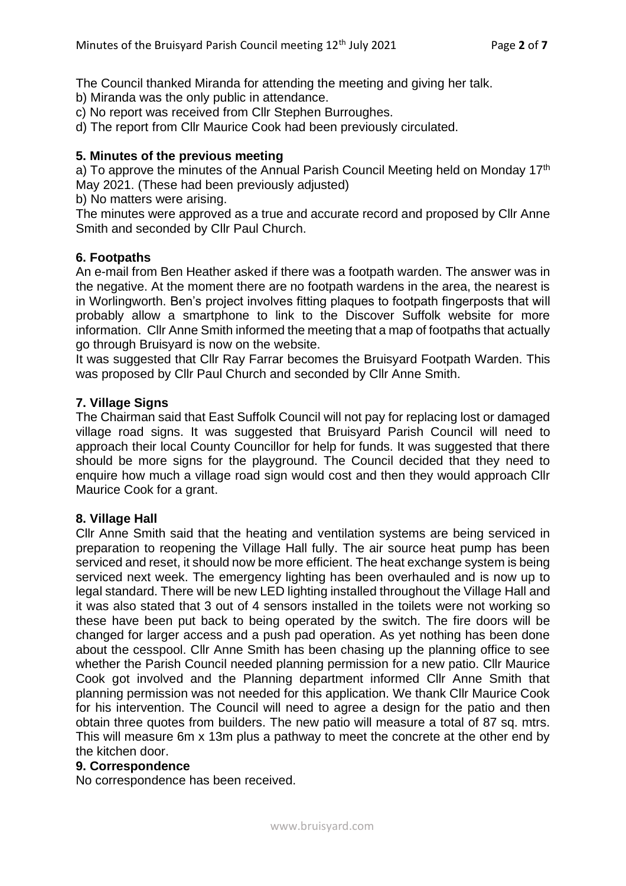The Council thanked Miranda for attending the meeting and giving her talk.

b) Miranda was the only public in attendance.

c) No report was received from Cllr Stephen Burroughes.

d) The report from Cllr Maurice Cook had been previously circulated.

# **5. Minutes of the previous meeting**

a) To approve the minutes of the Annual Parish Council Meeting held on Monday 17<sup>th</sup> May 2021. (These had been previously adjusted)

b) No matters were arising.

The minutes were approved as a true and accurate record and proposed by Cllr Anne Smith and seconded by Cllr Paul Church.

# **6. Footpaths**

An e-mail from Ben Heather asked if there was a footpath warden. The answer was in the negative. At the moment there are no footpath wardens in the area, the nearest is in Worlingworth. Ben's project involves fitting plaques to footpath fingerposts that will probably allow a smartphone to link to the Discover Suffolk website for more information. Cllr Anne Smith informed the meeting that a map of footpaths that actually go through Bruisyard is now on the website.

It was suggested that Cllr Ray Farrar becomes the Bruisyard Footpath Warden. This was proposed by Cllr Paul Church and seconded by Cllr Anne Smith.

# **7. Village Signs**

The Chairman said that East Suffolk Council will not pay for replacing lost or damaged village road signs. It was suggested that Bruisyard Parish Council will need to approach their local County Councillor for help for funds. It was suggested that there should be more signs for the playground. The Council decided that they need to enquire how much a village road sign would cost and then they would approach Cllr Maurice Cook for a grant.

# **8. Village Hall**

Cllr Anne Smith said that the heating and ventilation systems are being serviced in preparation to reopening the Village Hall fully. The air source heat pump has been serviced and reset, it should now be more efficient. The heat exchange system is being serviced next week. The emergency lighting has been overhauled and is now up to legal standard. There will be new LED lighting installed throughout the Village Hall and it was also stated that 3 out of 4 sensors installed in the toilets were not working so these have been put back to being operated by the switch. The fire doors will be changed for larger access and a push pad operation. As yet nothing has been done about the cesspool. Cllr Anne Smith has been chasing up the planning office to see whether the Parish Council needed planning permission for a new patio. Cllr Maurice Cook got involved and the Planning department informed Cllr Anne Smith that planning permission was not needed for this application. We thank Cllr Maurice Cook for his intervention. The Council will need to agree a design for the patio and then obtain three quotes from builders. The new patio will measure a total of 87 sq. mtrs. This will measure 6m x 13m plus a pathway to meet the concrete at the other end by the kitchen door.

# **9. Correspondence**

No correspondence has been received.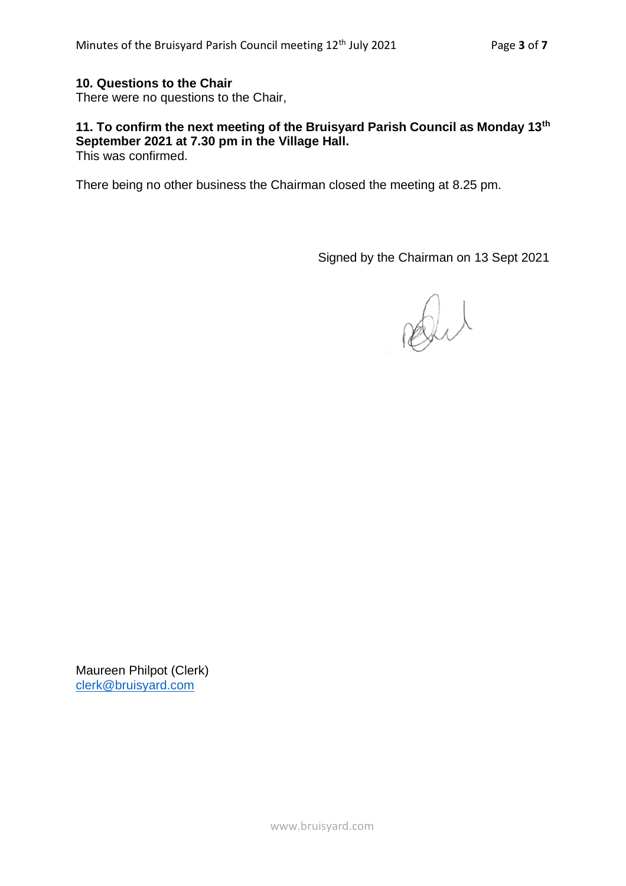# **10. Questions to the Chair**

There were no questions to the Chair,

### **11. To confirm the next meeting of the Bruisyard Parish Council as Monday 13th September 2021 at 7.30 pm in the Village Hall.** This was confirmed.

There being no other business the Chairman closed the meeting at 8.25 pm.

Signed by the Chairman on 13 Sept 2021

Dit

Maureen Philpot (Clerk) [clerk@bruisyard.com](mailto:clerk@bruisyard.com)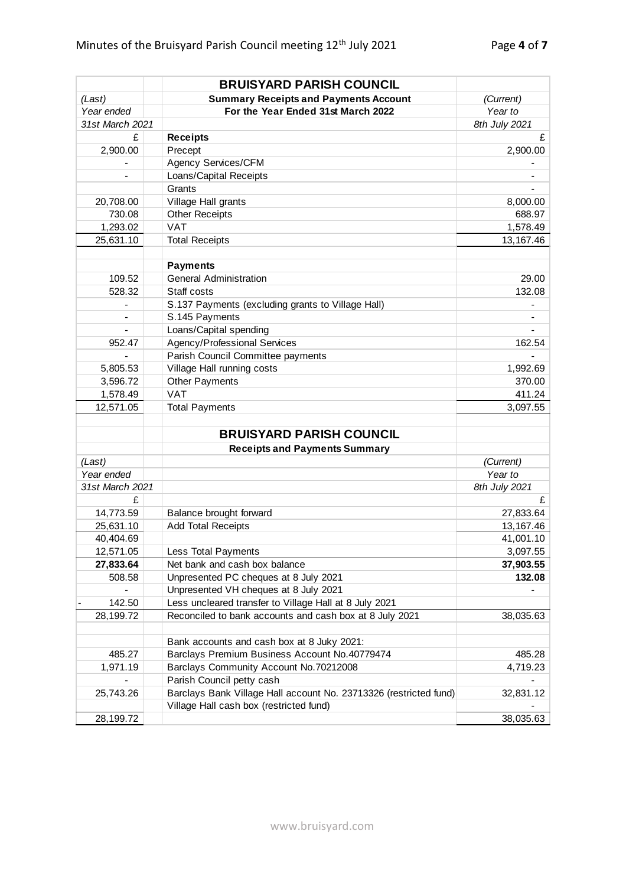|                          | <b>BRUISYARD PARISH COUNCIL</b>                                   |               |  |
|--------------------------|-------------------------------------------------------------------|---------------|--|
| (Last)                   | <b>Summary Receipts and Payments Account</b>                      | (Current)     |  |
| Year ended               | For the Year Ended 31st March 2022                                | Year to       |  |
| 31st March 2021          |                                                                   | 8th July 2021 |  |
| £                        | <b>Receipts</b>                                                   | £             |  |
| 2,900.00                 | Precept                                                           | 2,900.00      |  |
|                          | Agency Services/CFM                                               |               |  |
|                          | Loans/Capital Receipts                                            |               |  |
|                          | Grants                                                            |               |  |
| 20,708.00                | Village Hall grants                                               | 8,000.00      |  |
| 730.08                   | <b>Other Receipts</b>                                             | 688.97        |  |
| 1,293.02                 | <b>VAT</b>                                                        | 1,578.49      |  |
| 25,631.10                | <b>Total Receipts</b>                                             | 13,167.46     |  |
|                          |                                                                   |               |  |
|                          | <b>Payments</b>                                                   |               |  |
| 109.52                   | <b>General Administration</b>                                     | 29.00         |  |
| 528.32                   | Staff costs                                                       | 132.08        |  |
| -                        | S.137 Payments (excluding grants to Village Hall)                 |               |  |
| $\overline{\phantom{0}}$ | S.145 Payments                                                    |               |  |
| ÷,                       | Loans/Capital spending                                            |               |  |
| 952.47                   | Agency/Professional Services                                      | 162.54        |  |
|                          | Parish Council Committee payments                                 |               |  |
| 5,805.53                 | Village Hall running costs                                        | 1,992.69      |  |
| 3,596.72                 | Other Payments                                                    | 370.00        |  |
| 1,578.49                 | <b>VAT</b>                                                        | 411.24        |  |
| 12,571.05                | <b>Total Payments</b>                                             | 3,097.55      |  |
|                          |                                                                   |               |  |
|                          | <b>BRUISYARD PARISH COUNCIL</b>                                   |               |  |
|                          | <b>Receipts and Payments Summary</b>                              |               |  |
| (Last)                   |                                                                   | (Current)     |  |
| Year ended               |                                                                   | Year to       |  |
| 31st March 2021          |                                                                   | 8th July 2021 |  |
| £                        |                                                                   | £             |  |
| 14,773.59                | Balance brought forward                                           | 27,833.64     |  |
| 25,631.10                | <b>Add Total Receipts</b>                                         | 13,167.46     |  |
| 40,404.69                |                                                                   | 41,001.10     |  |
| 12,571.05                | <b>Less Total Payments</b>                                        | 3,097.55      |  |
| 27,833.64                | Net bank and cash box balance                                     | 37,903.55     |  |
| 508.58                   | Unpresented PC cheques at 8 July 2021                             | 132.08        |  |
|                          | Unpresented VH cheques at 8 July 2021                             |               |  |
| 142.50                   | Less uncleared transfer to Village Hall at 8 July 2021            |               |  |
| 28,199.72                | Reconciled to bank accounts and cash box at 8 July 2021           | 38,035.63     |  |
|                          |                                                                   |               |  |
|                          | Bank accounts and cash box at 8 Juky 2021:                        |               |  |
| 485.27                   | Barclays Premium Business Account No.40779474                     | 485.28        |  |
| 1,971.19                 | Barclays Community Account No.70212008                            | 4,719.23      |  |
|                          | Parish Council petty cash                                         |               |  |
| 25,743.26                | Barclays Bank Village Hall account No. 23713326 (restricted fund) | 32,831.12     |  |
|                          | Village Hall cash box (restricted fund)                           |               |  |
| 28,199.72                |                                                                   | 38,035.63     |  |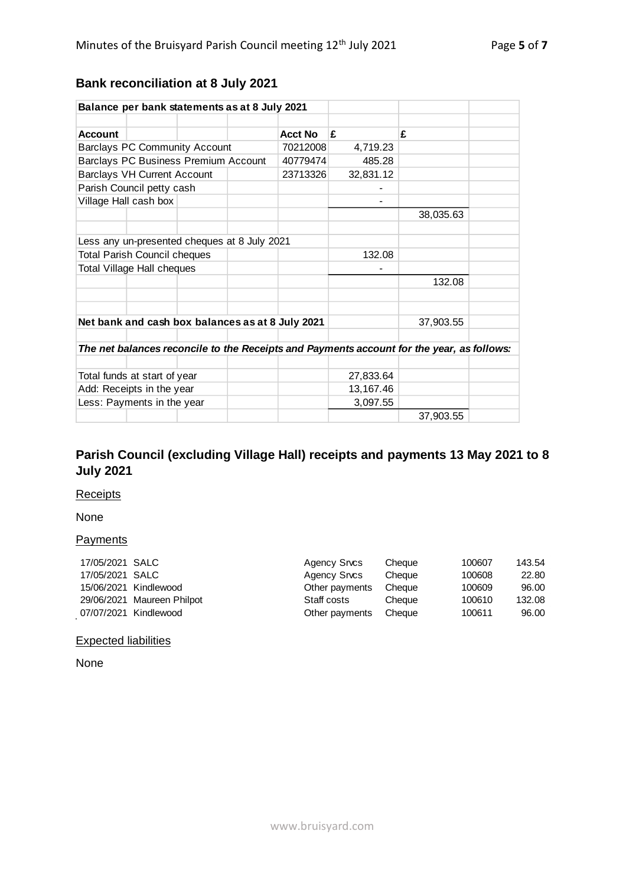# **Bank reconciliation at 8 July 2021**

| Balance per bank statements as at 8 July 2021                                             |                                              |  |          |                |           |           |  |
|-------------------------------------------------------------------------------------------|----------------------------------------------|--|----------|----------------|-----------|-----------|--|
|                                                                                           |                                              |  |          |                |           |           |  |
| <b>Account</b>                                                                            |                                              |  |          | <b>Acct No</b> | £         | £         |  |
| <b>Barclays PC Community Account</b>                                                      |                                              |  | 70212008 | 4,719.23       |           |           |  |
| Barclays PC Business Premium Account                                                      |                                              |  | 40779474 | 485.28         |           |           |  |
| <b>Barclays VH Current Account</b>                                                        |                                              |  | 23713326 | 32,831.12      |           |           |  |
| Parish Council petty cash                                                                 |                                              |  |          |                |           |           |  |
|                                                                                           | Village Hall cash box                        |  |          |                |           |           |  |
|                                                                                           |                                              |  |          |                |           | 38,035.63 |  |
|                                                                                           |                                              |  |          |                |           |           |  |
|                                                                                           | Less any un-presented cheques at 8 July 2021 |  |          |                |           |           |  |
| <b>Total Parish Council cheques</b>                                                       |                                              |  | 132.08   |                |           |           |  |
| <b>Total Village Hall cheques</b>                                                         |                                              |  |          |                |           |           |  |
|                                                                                           |                                              |  |          |                |           | 132.08    |  |
|                                                                                           |                                              |  |          |                |           |           |  |
|                                                                                           |                                              |  |          |                |           |           |  |
| Net bank and cash box balances as at 8 July 2021                                          |                                              |  |          |                | 37,903.55 |           |  |
|                                                                                           |                                              |  |          |                |           |           |  |
| The net balances reconcile to the Receipts and Payments account for the year, as follows: |                                              |  |          |                |           |           |  |
|                                                                                           |                                              |  |          |                |           |           |  |
| Total funds at start of year                                                              |                                              |  |          | 27,833.64      |           |           |  |
| Add: Receipts in the year                                                                 |                                              |  |          | 13,167.46      |           |           |  |
| Less: Payments in the year                                                                |                                              |  |          | 3,097.55       |           |           |  |
|                                                                                           |                                              |  |          |                |           | 37,903.55 |  |

# **Parish Council (excluding Village Hall) receipts and payments 13 May 2021 to 8 July 2021**

#### **Receipts**

#### None

#### **Payments**

| 17/05/2021 SALC |                            | Agency Srvcs   | Cheaue | 100607 | 143.54 |
|-----------------|----------------------------|----------------|--------|--------|--------|
| 17/05/2021 SALC |                            | Agency Srvcs   | Cheaue | 100608 | 22.80  |
|                 | 15/06/2021 Kindlewood      | Other payments | Cheaue | 100609 | 96.00  |
|                 | 29/06/2021 Maureen Philpot | Staff costs    | Cheaue | 100610 | 132.08 |
|                 | 07/07/2021 Kindlewood      | Other payments | Cheaue | 100611 | 96.00  |

# Expected liabilities

None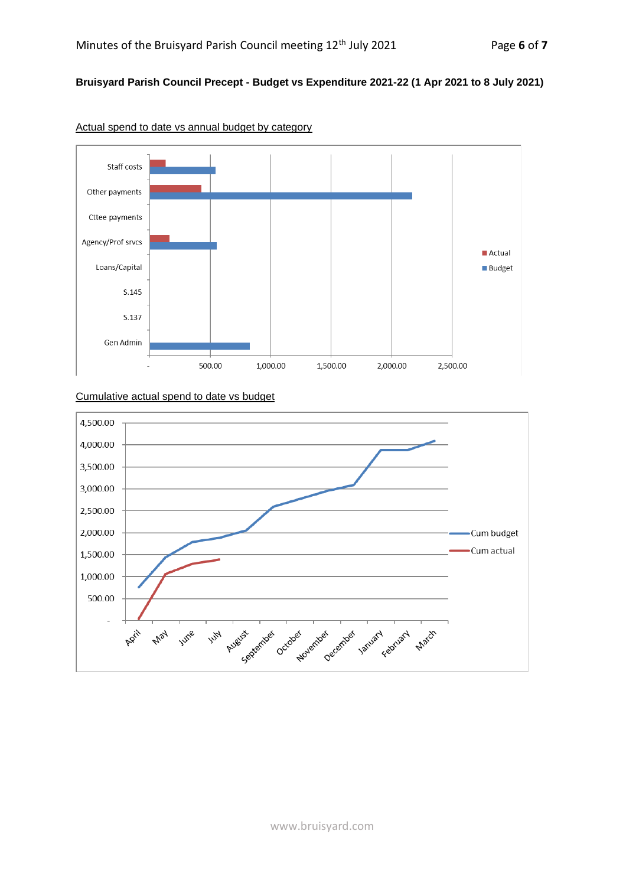# **Bruisyard Parish Council Precept - Budget vs Expenditure 2021-22 (1 Apr 2021 to 8 July 2021)**



Actual spend to date vs annual budget by category

#### Cumulative actual spend to date vs budget